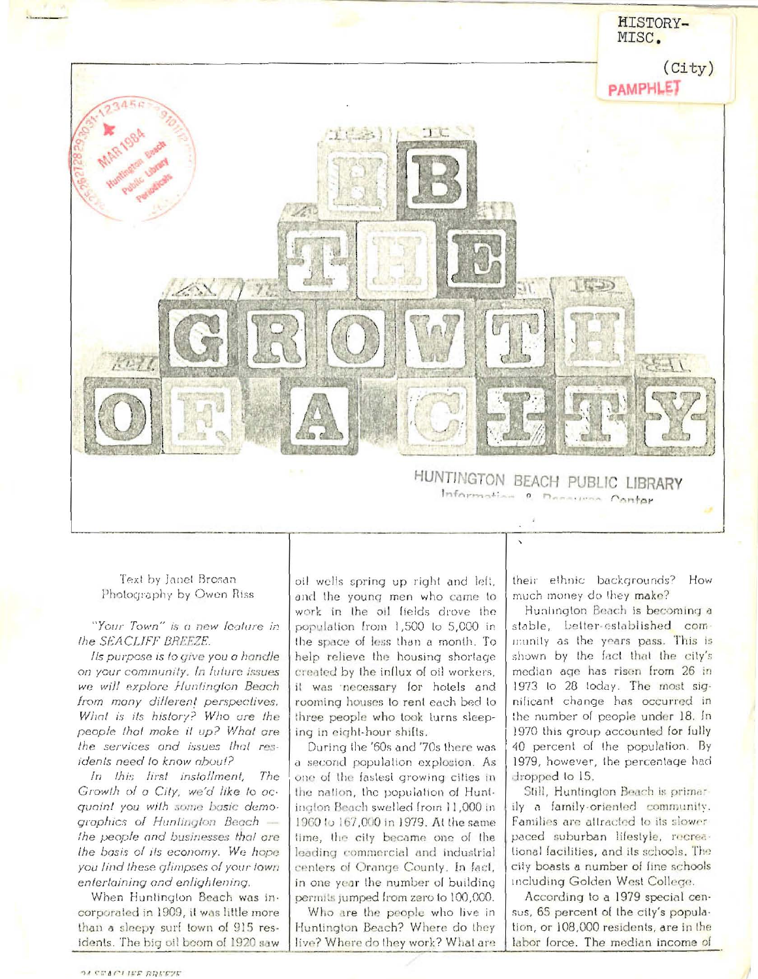

Text by Janet Brosan Photography by Owen Riss

"Your Town" is a new leature in the SEACLIFF BREEZE.

Ils purpose is lo give you a handle on your community. In luture issues we will explore Huntington Beach from many dillerent perspectives. What is its history? Who are the people that make it up? What are the services and issues that residents need to know about?

In this lirst instollment, The Growth of a City, we'd like to acquaint you with some basic demographics of Huntington Beach the people and businesses that are the basis of its economy. We hope you lind these glimpses of your lown entertaining and enlightening.

When Huntington Beach was incorporated in 1909, it was little more than a sleepy surf town of 915 residents. The big oil boom of 1920 saw

oil wells spring up right and left, and the young men who came to work in the oil lields drove the population from 1,500 to 5,000 in the space of less than a month. To help relieve the housing shortage created by the influx of oil workers, it was inecessary for hotels and rooming houses to rent each bed to three people who took turns sleeping in eight-hour shifts.

During the '60s and '70s there was a second population explosion. As one of the fastest growing cities in the nation, the population of Huntington Beach swelled from 11,000 in 1960 to 167,000 in 1979. At the same time, the city became one of the leading commercial and industrial centers of Orange County. In fact, in one year the number of building permits jumped from zero to 100,000.

Who are the people who live in Huntington Beach? Where do they live? Where do they work? What are their ethnic backgrounds? How much money do they make?

Huntington Beach is becoming a stable, better-established community as the years pass. This is shown by the fact that the city's median age has risen from 26 in 1973 to 28 today. The most significant change has occurred in the number of people under 18. In 1970 this group accounted for fully 40 percent of the population. By 1979, however, the percentage had dropped to 15.

Still, Huntington Beach is primarily a family-oriented community. Families are attracted to its slowerpaced suburban lifestyle, recreational facilities, and its schools. The city boasts a number of fine schools including Golden West College.

According to a 1979 special census, 65 percent of the city's population, or 108,000 residents, are in the labor force. The median income of